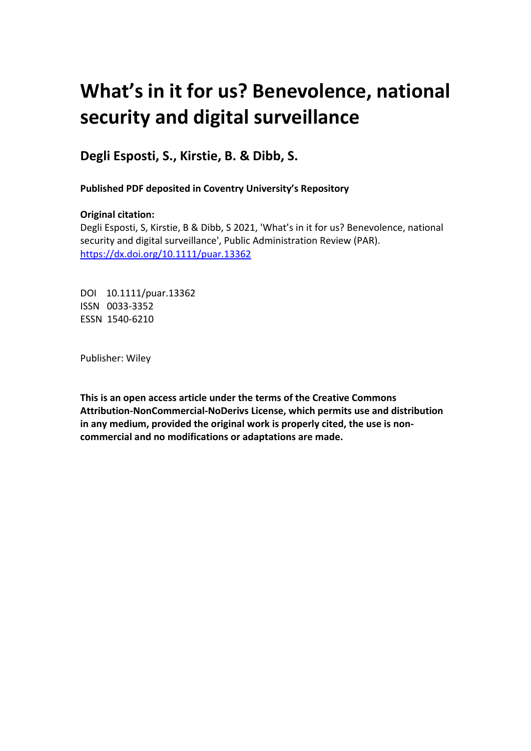# **What's in it for us? Benevolence, national security and digital surveillance**

**Degli Esposti, S., Kirstie, B. & Dibb, S.**

**Published PDF deposited in Coventry University's Repository** 

## **Original citation:**

Degli Esposti, S, Kirstie, B & Dibb, S 2021, 'What's in it for us? Benevolence, national security and digital surveillance', Public Administration Review (PAR). https://dx.doi.org/10.1111/puar.13362

DOI 10.1111/puar.13362 ISSN 0033-3352 ESSN 1540-6210

Publisher: Wiley

**This is an open access article under the terms of the Creative Commons Attribution‐NonCommercial‐NoDerivs License, which permits use and distribution in any medium, provided the original work is properly cited, the use is non‐ commercial and no modifications or adaptations are made.**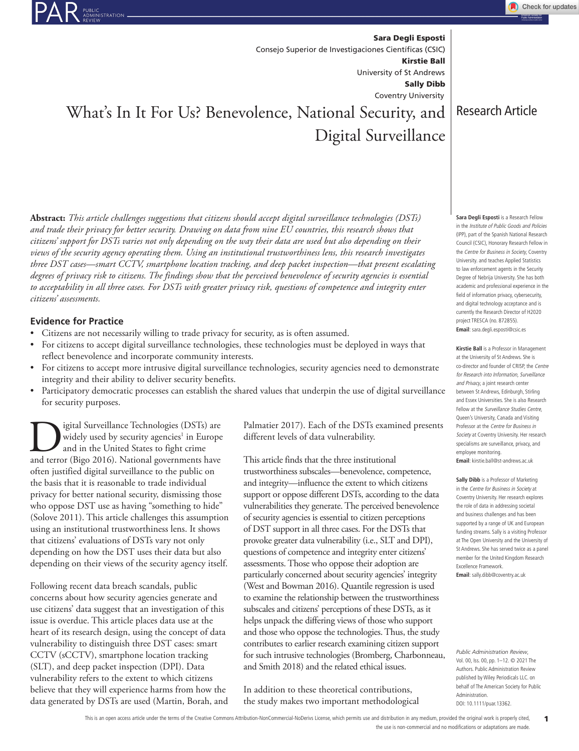Sara Degli Esposti Kirstie Ball Sally Dibb University of St Andrews Coventry University Consejo Superior de Investigaciones Científicas (CSIC)

## What's In It For Us? Benevolence, National Security, and Digital Surveillance

**Abstract:** *This article challenges suggestions that citizens should accept digital surveillance technologies (DSTs) and trade their privacy for better security. Drawing on data from nine EU countries, this research shows that citizens' support for DSTs varies not only depending on the way their data are used but also depending on their views of the security agency operating them. Using an institutional trustworthiness lens, this research investigates three DST cases—smart CCTV, smartphone location tracking, and deep packet inspection—that present escalating degrees of privacy risk to citizens. The findings show that the perceived benevolence of security agencies is essential to acceptability in all three cases. For DSTs with greater privacy risk, questions of competence and integrity enter citizens' assessments.*

## **Evidence for Practice**

- Citizens are not necessarily willing to trade privacy for security, as is often assumed.
- For citizens to accept digital surveillance technologies, these technologies must be deployed in ways that reflect benevolence and incorporate community interests.
- For citizens to accept more intrusive digital surveillance technologies, security agencies need to demonstrate integrity and their ability to deliver security benefits.
- Participatory democratic processes can establish the shared values that underpin the use of digital surveillance for security purposes.

**DESE SURVEN** is used by security agencies<sup>1</sup> in Europe and in the United States to fight crime and terror (Bigo 2016). National governments have widely used by security agencies<sup>1</sup> in Europe and in the United States to fight crime often justified digital surveillance to the public on the basis that it is reasonable to trade individual privacy for better national security, dismissing those who oppose DST use as having "something to hide" (Solove 2011). This article challenges this assumption using an institutional trustworthiness lens. It shows that citizens' evaluations of DSTs vary not only depending on how the DST uses their data but also depending on their views of the security agency itself.

Following recent data breach scandals, public concerns about how security agencies generate and use citizens' data suggest that an investigation of this issue is overdue. This article places data use at the heart of its research design, using the concept of data vulnerability to distinguish three DST cases: smart CCTV (sCCTV), smartphone location tracking (SLT), and deep packet inspection (DPI). Data vulnerability refers to the extent to which citizens believe that they will experience harms from how the data generated by DSTs are used (Martin, Borah, and Palmatier 2017). Each of the DSTs examined presents different levels of data vulnerability.

This article finds that the three institutional trustworthiness subscales—benevolence, competence, and integrity—influence the extent to which citizens support or oppose different DSTs, according to the data vulnerabilities they generate. The perceived benevolence of security agencies is essential to citizen perceptions of DST support in all three cases. For the DSTs that provoke greater data vulnerability (i.e., SLT and DPI), questions of competence and integrity enter citizens' assessments. Those who oppose their adoption are particularly concerned about security agencies' integrity (West and Bowman 2016). Quantile regression is used to examine the relationship between the trustworthiness subscales and citizens' perceptions of these DSTs, as it helps unpack the differing views of those who support and those who oppose the technologies. Thus, the study contributes to earlier research examining citizen support for such intrusive technologies (Bromberg, Charbonneau, and Smith 2018) and the related ethical issues.

In addition to these theoretical contributions, the study makes two important methodological Research Article

Check for updates

**Sara Degli Esposti** is a Research Fellow in the Institute of Public Goods and Policies (IPP), part of the Spanish National Research Council (CSIC), Honorary Research Fellow in the Centre for Business in Society, Coventry University. and teaches Applied Statistics to law enforcement agents in the Security Degree of Nebrija University. She has both academic and professional experience in the field of information privacy, cybersecurity, and digital technology acceptance and is currently the Research Director of H2020 project TRESCA (no. 872855). **Email**: sara.degli.esposti@csic.es

**Kirstie Ball** is a Professor in Management at the University of St Andrews. She is co-director and founder of CRISP, the Centre for Research into Information, Surveillance and Privacy, a joint research center between St Andrews, Edinburgh, Stirling and Essex Universities. She is also Research Fellow at the Surveillance Studies Centre, Queen's University, Canada and Visiting Professor at the Centre for Business in Society at Coventry University. Her research specialisms are surveillance, privacy, and employee monitoring.

**Email**: kirstie.ball@st-andrews.ac.uk

**Sally Dibb** is a Professor of Marketing in the Centre for Business in Society at Coventry University. Her research explores the role of data in addressing societal and business challenges and has been supported by a range of UK and European funding streams. Sally is a visiting Professor at The Open University and the University of St Andrews. She has served twice as a panel member for the United Kingdom Research Excellence Framework. **Email**: sally.dibb@coventry.ac.uk

*Public Administration Review*, Vol. 00, Iss. 00, pp. 1–12. © 2021 The Authors. Public Administration Review published by Wiley Periodicals LLC. on behalf of The American Society for Public Administration. DOI: 10.1111/puar.13362.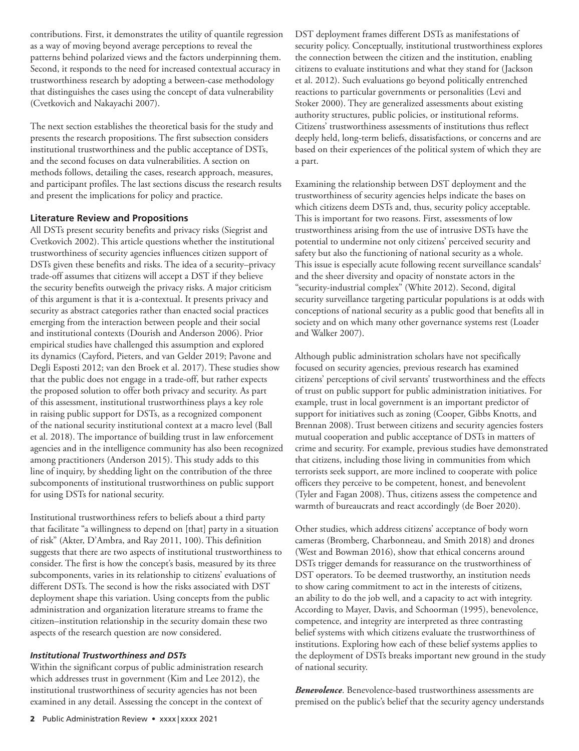contributions. First, it demonstrates the utility of quantile regression as a way of moving beyond average perceptions to reveal the patterns behind polarized views and the factors underpinning them. Second, it responds to the need for increased contextual accuracy in trustworthiness research by adopting a between-case methodology that distinguishes the cases using the concept of data vulnerability (Cvetkovich and Nakayachi 2007).

The next section establishes the theoretical basis for the study and presents the research propositions. The first subsection considers institutional trustworthiness and the public acceptance of DSTs, and the second focuses on data vulnerabilities. A section on methods follows, detailing the cases, research approach, measures, and participant profiles. The last sections discuss the research results and present the implications for policy and practice.

### **Literature Review and Propositions**

All DSTs present security benefits and privacy risks (Siegrist and Cvetkovich 2002). This article questions whether the institutional trustworthiness of security agencies influences citizen support of DSTs given these benefits and risks. The idea of a security–privacy trade-off assumes that citizens will accept a DST if they believe the security benefits outweigh the privacy risks. A major criticism of this argument is that it is a-contextual. It presents privacy and security as abstract categories rather than enacted social practices emerging from the interaction between people and their social and institutional contexts (Dourish and Anderson 2006). Prior empirical studies have challenged this assumption and explored its dynamics (Cayford, Pieters, and van Gelder 2019; Pavone and Degli Esposti 2012; van den Broek et al. 2017). These studies show that the public does not engage in a trade-off, but rather expects the proposed solution to offer both privacy and security. As part of this assessment, institutional trustworthiness plays a key role in raising public support for DSTs, as a recognized component of the national security institutional context at a macro level (Ball et al. 2018). The importance of building trust in law enforcement agencies and in the intelligence community has also been recognized among practitioners (Anderson 2015). This study adds to this line of inquiry, by shedding light on the contribution of the three subcomponents of institutional trustworthiness on public support for using DSTs for national security.

Institutional trustworthiness refers to beliefs about a third party that facilitate "a willingness to depend on [that] party in a situation of risk" (Akter, D'Ambra, and Ray 2011, 100). This definition suggests that there are two aspects of institutional trustworthiness to consider. The first is how the concept's basis, measured by its three subcomponents, varies in its relationship to citizens' evaluations of different DSTs. The second is how the risks associated with DST deployment shape this variation. Using concepts from the public administration and organization literature streams to frame the citizen–institution relationship in the security domain these two aspects of the research question are now considered.

#### *Institutional Trustworthiness and DSTs*

Within the significant corpus of public administration research which addresses trust in government (Kim and Lee 2012), the institutional trustworthiness of security agencies has not been examined in any detail. Assessing the concept in the context of

DST deployment frames different DSTs as manifestations of security policy. Conceptually, institutional trustworthiness explores the connection between the citizen and the institution, enabling citizens to evaluate institutions and what they stand for (Jackson et al. 2012). Such evaluations go beyond politically entrenched reactions to particular governments or personalities (Levi and Stoker 2000). They are generalized assessments about existing authority structures, public policies, or institutional reforms. Citizens' trustworthiness assessments of institutions thus reflect deeply held, long-term beliefs, dissatisfactions, or concerns and are based on their experiences of the political system of which they are a part.

Examining the relationship between DST deployment and the trustworthiness of security agencies helps indicate the bases on which citizens deem DSTs and, thus, security policy acceptable. This is important for two reasons. First, assessments of low trustworthiness arising from the use of intrusive DSTs have the potential to undermine not only citizens' perceived security and safety but also the functioning of national security as a whole. This issue is especially acute following recent surveillance scandals<sup>2</sup> and the sheer diversity and opacity of nonstate actors in the "security-industrial complex" (White 2012). Second, digital security surveillance targeting particular populations is at odds with conceptions of national security as a public good that benefits all in society and on which many other governance systems rest (Loader and Walker 2007).

Although public administration scholars have not specifically focused on security agencies, previous research has examined citizens' perceptions of civil servants' trustworthiness and the effects of trust on public support for public administration initiatives. For example, trust in local government is an important predictor of support for initiatives such as zoning (Cooper, Gibbs Knotts, and Brennan 2008). Trust between citizens and security agencies fosters mutual cooperation and public acceptance of DSTs in matters of crime and security. For example, previous studies have demonstrated that citizens, including those living in communities from which terrorists seek support, are more inclined to cooperate with police officers they perceive to be competent, honest, and benevolent (Tyler and Fagan 2008). Thus, citizens assess the competence and warmth of bureaucrats and react accordingly (de Boer 2020).

Other studies, which address citizens' acceptance of body worn cameras (Bromberg, Charbonneau, and Smith 2018) and drones (West and Bowman 2016), show that ethical concerns around DSTs trigger demands for reassurance on the trustworthiness of DST operators. To be deemed trustworthy, an institution needs to show caring commitment to act in the interests of citizens, an ability to do the job well, and a capacity to act with integrity. According to Mayer, Davis, and Schoorman (1995), benevolence, competence, and integrity are interpreted as three contrasting belief systems with which citizens evaluate the trustworthiness of institutions. Exploring how each of these belief systems applies to the deployment of DSTs breaks important new ground in the study of national security.

*Benevolence*. Benevolence-based trustworthiness assessments are premised on the public's belief that the security agency understands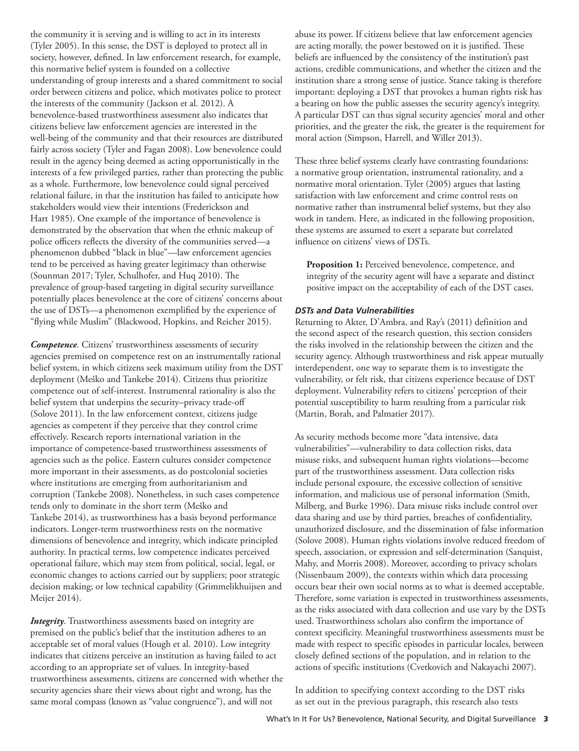the community it is serving and is willing to act in its interests (Tyler 2005). In this sense, the DST is deployed to protect all in society, however, defined. In law enforcement research, for example, this normative belief system is founded on a collective understanding of group interests and a shared commitment to social order between citizens and police, which motivates police to protect the interests of the community (Jackson et al. 2012). A benevolence-based trustworthiness assessment also indicates that citizens believe law enforcement agencies are interested in the well-being of the community and that their resources are distributed fairly across society (Tyler and Fagan 2008). Low benevolence could result in the agency being deemed as acting opportunistically in the interests of a few privileged parties, rather than protecting the public as a whole. Furthermore, low benevolence could signal perceived relational failure, in that the institution has failed to anticipate how stakeholders would view their intentions (Frederickson and Hart 1985). One example of the importance of benevolence is demonstrated by the observation that when the ethnic makeup of police officers reflects the diversity of the communities served—a phenomenon dubbed "black in blue"—law enforcement agencies tend to be perceived as having greater legitimacy than otherwise (Sounman 2017; Tyler, Schulhofer, and Huq 2010). The prevalence of group-based targeting in digital security surveillance potentially places benevolence at the core of citizens' concerns about the use of DSTs—a phenomenon exemplified by the experience of "flying while Muslim" (Blackwood, Hopkins, and Reicher 2015).

*Competence*. Citizens' trustworthiness assessments of security agencies premised on competence rest on an instrumentally rational belief system, in which citizens seek maximum utility from the DST deployment (Meško and Tankebe 2014). Citizens thus prioritize competence out of self-interest. Instrumental rationality is also the belief system that underpins the security–privacy trade-off (Solove 2011). In the law enforcement context, citizens judge agencies as competent if they perceive that they control crime effectively. Research reports international variation in the importance of competence-based trustworthiness assessments of agencies such as the police. Eastern cultures consider competence more important in their assessments, as do postcolonial societies where institutions are emerging from authoritarianism and corruption (Tankebe 2008). Nonetheless, in such cases competence tends only to dominate in the short term (Meško and Tankebe 2014), as trustworthiness has a basis beyond performance indicators. Longer-term trustworthiness rests on the normative dimensions of benevolence and integrity, which indicate principled authority. In practical terms, low competence indicates perceived operational failure, which may stem from political, social, legal, or economic changes to actions carried out by suppliers; poor strategic decision making; or low technical capability (Grimmelikhuijsen and Meijer 2014).

*Integrity*. Trustworthiness assessments based on integrity are premised on the public's belief that the institution adheres to an acceptable set of moral values (Hough et al. 2010). Low integrity indicates that citizens perceive an institution as having failed to act according to an appropriate set of values. In integrity-based trustworthiness assessments, citizens are concerned with whether the security agencies share their views about right and wrong, has the same moral compass (known as "value congruence"), and will not

abuse its power. If citizens believe that law enforcement agencies are acting morally, the power bestowed on it is justified. These beliefs are influenced by the consistency of the institution's past actions, credible communications, and whether the citizen and the institution share a strong sense of justice. Stance taking is therefore important: deploying a DST that provokes a human rights risk has a bearing on how the public assesses the security agency's integrity. A particular DST can thus signal security agencies' moral and other priorities, and the greater the risk, the greater is the requirement for moral action (Simpson, Harrell, and Willer 2013).

These three belief systems clearly have contrasting foundations: a normative group orientation, instrumental rationality, and a normative moral orientation. Tyler (2005) argues that lasting satisfaction with law enforcement and crime control rests on normative rather than instrumental belief systems, but they also work in tandem. Here, as indicated in the following proposition, these systems are assumed to exert a separate but correlated influence on citizens' views of DSTs.

**Proposition 1:** Perceived benevolence, competence, and integrity of the security agent will have a separate and distinct positive impact on the acceptability of each of the DST cases.

#### *DSTs and Data Vulnerabilities*

Returning to Akter, D'Ambra, and Ray's (2011) definition and the second aspect of the research question, this section considers the risks involved in the relationship between the citizen and the security agency. Although trustworthiness and risk appear mutually interdependent, one way to separate them is to investigate the vulnerability, or felt risk, that citizens experience because of DST deployment. Vulnerability refers to citizens' perception of their potential susceptibility to harm resulting from a particular risk (Martin, Borah, and Palmatier 2017).

As security methods become more "data intensive, data vulnerabilities"—vulnerability to data collection risks, data misuse risks, and subsequent human rights violations—become part of the trustworthiness assessment. Data collection risks include personal exposure, the excessive collection of sensitive information, and malicious use of personal information (Smith, Milberg, and Burke 1996). Data misuse risks include control over data sharing and use by third parties, breaches of confidentiality, unauthorized disclosure, and the dissemination of false information (Solove 2008). Human rights violations involve reduced freedom of speech, association, or expression and self-determination (Sanquist, Mahy, and Morris 2008). Moreover, according to privacy scholars (Nissenbaum 2009), the contexts within which data processing occurs bear their own social norms as to what is deemed acceptable. Therefore, some variation is expected in trustworthiness assessments, as the risks associated with data collection and use vary by the DSTs used. Trustworthiness scholars also confirm the importance of context specificity. Meaningful trustworthiness assessments must be made with respect to specific episodes in particular locales, between closely defined sections of the population, and in relation to the actions of specific institutions (Cvetkovich and Nakayachi 2007).

In addition to specifying context according to the DST risks as set out in the previous paragraph, this research also tests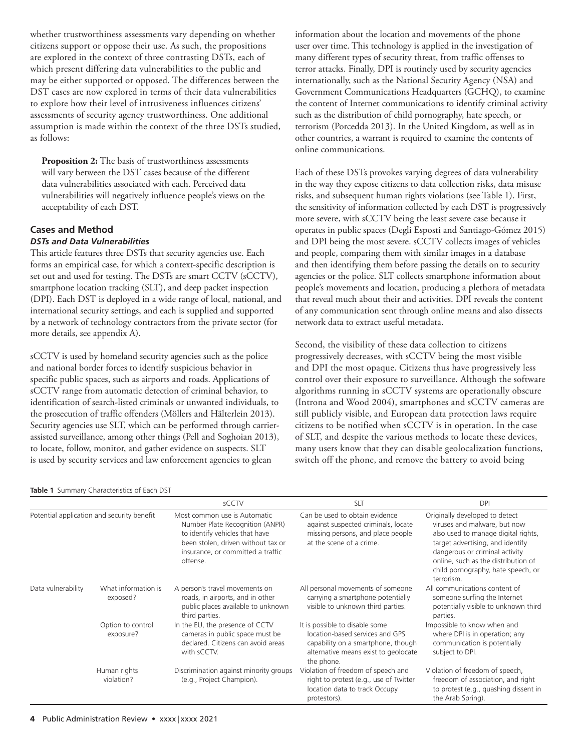whether trustworthiness assessments vary depending on whether citizens support or oppose their use. As such, the propositions are explored in the context of three contrasting DSTs, each of which present differing data vulnerabilities to the public and may be either supported or opposed. The differences between the DST cases are now explored in terms of their data vulnerabilities to explore how their level of intrusiveness influences citizens' assessments of security agency trustworthiness. One additional assumption is made within the context of the three DSTs studied, as follows:

**Proposition 2:** The basis of trustworthiness assessments will vary between the DST cases because of the different data vulnerabilities associated with each. Perceived data vulnerabilities will negatively influence people's views on the acceptability of each DST.

#### **Cases and Method** *DSTs and Data Vulnerabilities*

This article features three DSTs that security agencies use. Each forms an empirical case, for which a context-specific description is set out and used for testing. The DSTs are smart CCTV (sCCTV), smartphone location tracking (SLT), and deep packet inspection (DPI). Each DST is deployed in a wide range of local, national, and international security settings, and each is supplied and supported by a network of technology contractors from the private sector (for more details, see appendix A).

sCCTV is used by homeland security agencies such as the police and national border forces to identify suspicious behavior in specific public spaces, such as airports and roads. Applications of sCCTV range from automatic detection of criminal behavior, to identification of search-listed criminals or unwanted individuals, to the prosecution of traffic offenders (Möllers and Hälterlein 2013). Security agencies use SLT, which can be performed through carrierassisted surveillance, among other things (Pell and Soghoian 2013), to locate, follow, monitor, and gather evidence on suspects. SLT is used by security services and law enforcement agencies to glean

#### **Table 1** Summary Characteristics of Each DST

information about the location and movements of the phone user over time. This technology is applied in the investigation of many different types of security threat, from traffic offenses to terror attacks. Finally, DPI is routinely used by security agencies internationally, such as the National Security Agency (NSA) and Government Communications Headquarters (GCHQ), to examine the content of Internet communications to identify criminal activity such as the distribution of child pornography, hate speech, or terrorism (Porcedda 2013). In the United Kingdom, as well as in other countries, a warrant is required to examine the contents of online communications.

Each of these DSTs provokes varying degrees of data vulnerability in the way they expose citizens to data collection risks, data misuse risks, and subsequent human rights violations (see Table 1). First, the sensitivity of information collected by each DST is progressively more severe, with sCCTV being the least severe case because it operates in public spaces (Degli Esposti and Santiago-Gómez 2015) and DPI being the most severe. sCCTV collects images of vehicles and people, comparing them with similar images in a database and then identifying them before passing the details on to security agencies or the police. SLT collects smartphone information about people's movements and location, producing a plethora of metadata that reveal much about their and activities. DPI reveals the content of any communication sent through online means and also dissects network data to extract useful metadata.

Second, the visibility of these data collection to citizens progressively decreases, with sCCTV being the most visible and DPI the most opaque. Citizens thus have progressively less control over their exposure to surveillance. Although the software algorithms running in sCCTV systems are operationally obscure (Introna and Wood 2004), smartphones and sCCTV cameras are still publicly visible, and European data protection laws require citizens to be notified when sCCTV is in operation. In the case of SLT, and despite the various methods to locate these devices, many users know that they can disable geolocalization functions, switch off the phone, and remove the battery to avoid being

|                                            |                                 | sCCTV                                                                                                                                                                                    | <b>SLT</b>                                                                                                                                                    | <b>DPI</b>                                                                                                                                                                                                                                                             |  |
|--------------------------------------------|---------------------------------|------------------------------------------------------------------------------------------------------------------------------------------------------------------------------------------|---------------------------------------------------------------------------------------------------------------------------------------------------------------|------------------------------------------------------------------------------------------------------------------------------------------------------------------------------------------------------------------------------------------------------------------------|--|
| Potential application and security benefit |                                 | Most common use is Automatic<br>Number Plate Recognition (ANPR)<br>to identify vehicles that have<br>been stolen, driven without tax or<br>insurance, or committed a traffic<br>offense. | Can be used to obtain evidence<br>against suspected criminals, locate<br>missing persons, and place people<br>at the scene of a crime.                        | Originally developed to detect<br>viruses and malware, but now<br>also used to manage digital rights,<br>target advertising, and identify<br>dangerous or criminal activity<br>online, such as the distribution of<br>child pornography, hate speech, or<br>terrorism. |  |
| Data vulnerability                         | What information is<br>exposed? | A person's travel movements on<br>roads, in airports, and in other<br>public places available to unknown<br>third parties.                                                               | All personal movements of someone<br>carrying a smartphone potentially<br>visible to unknown third parties.                                                   | All communications content of<br>someone surfing the Internet<br>potentially visible to unknown third<br>parties.                                                                                                                                                      |  |
|                                            | Option to control<br>exposure?  | In the EU, the presence of CCTV<br>cameras in public space must be<br>declared. Citizens can avoid areas<br>with sCCTV.                                                                  | It is possible to disable some<br>location-based services and GPS<br>capability on a smartphone, though<br>alternative means exist to geolocate<br>the phone. | Impossible to know when and<br>where DPI is in operation; any<br>communication is potentially<br>subject to DPI.                                                                                                                                                       |  |
|                                            | Human rights<br>violation?      | Discrimination against minority groups<br>(e.g., Project Champion).                                                                                                                      | Violation of freedom of speech and<br>right to protest (e.g., use of Twitter<br>location data to track Occupy<br>protestors).                                 | Violation of freedom of speech,<br>freedom of association, and right<br>to protest (e.g., quashing dissent in<br>the Arab Spring).                                                                                                                                     |  |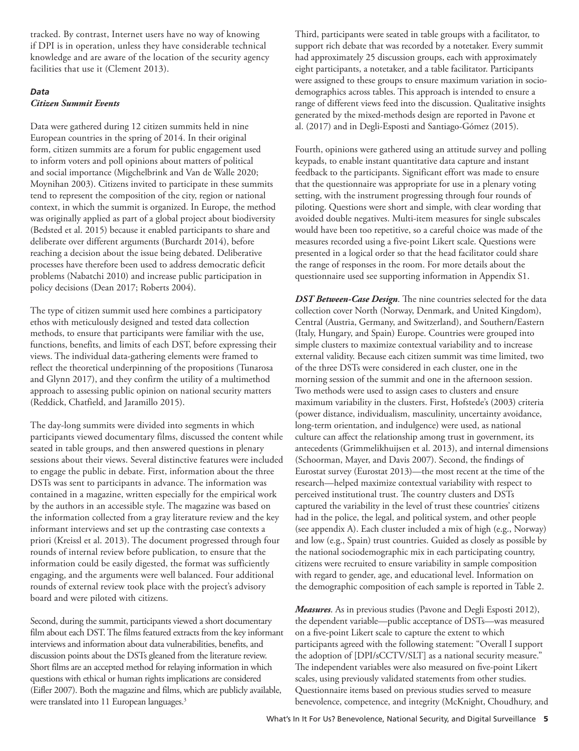tracked. By contrast, Internet users have no way of knowing if DPI is in operation, unless they have considerable technical knowledge and are aware of the location of the security agency facilities that use it (Clement 2013).

#### *Data Citizen Summit Events*

Data were gathered during 12 citizen summits held in nine European countries in the spring of 2014. In their original form, citizen summits are a forum for public engagement used to inform voters and poll opinions about matters of political and social importance (Migchelbrink and Van de Walle 2020; Moynihan 2003). Citizens invited to participate in these summits tend to represent the composition of the city, region or national context, in which the summit is organized. In Europe, the method was originally applied as part of a global project about biodiversity (Bedsted et al. 2015) because it enabled participants to share and deliberate over different arguments (Burchardt 2014), before reaching a decision about the issue being debated. Deliberative processes have therefore been used to address democratic deficit problems (Nabatchi 2010) and increase public participation in policy decisions (Dean 2017; Roberts 2004).

The type of citizen summit used here combines a participatory ethos with meticulously designed and tested data collection methods, to ensure that participants were familiar with the use, functions, benefits, and limits of each DST, before expressing their views. The individual data-gathering elements were framed to reflect the theoretical underpinning of the propositions (Tunarosa and Glynn 2017), and they confirm the utility of a multimethod approach to assessing public opinion on national security matters (Reddick, Chatfield, and Jaramillo 2015).

The day-long summits were divided into segments in which participants viewed documentary films, discussed the content while seated in table groups, and then answered questions in plenary sessions about their views. Several distinctive features were included to engage the public in debate. First, information about the three DSTs was sent to participants in advance. The information was contained in a magazine, written especially for the empirical work by the authors in an accessible style. The magazine was based on the information collected from a gray literature review and the key informant interviews and set up the contrasting case contexts a priori (Kreissl et al. 2013). The document progressed through four rounds of internal review before publication, to ensure that the information could be easily digested, the format was sufficiently engaging, and the arguments were well balanced. Four additional rounds of external review took place with the project's advisory board and were piloted with citizens.

Second, during the summit, participants viewed a short documentary film about each DST. The films featured extracts from the key informant interviews and information about data vulnerabilities, benefits, and discussion points about the DSTs gleaned from the literature review. Short films are an accepted method for relaying information in which questions with ethical or human rights implications are considered (Eifler 2007). Both the magazine and films, which are publicly available, were translated into 11 European languages.<sup>3</sup>

Third, participants were seated in table groups with a facilitator, to support rich debate that was recorded by a notetaker. Every summit had approximately 25 discussion groups, each with approximately eight participants, a notetaker, and a table facilitator. Participants were assigned to these groups to ensure maximum variation in sociodemographics across tables. This approach is intended to ensure a range of different views feed into the discussion. Qualitative insights generated by the mixed-methods design are reported in Pavone et al. (2017) and in Degli-Esposti and Santiago-Gómez (2015).

Fourth, opinions were gathered using an attitude survey and polling keypads, to enable instant quantitative data capture and instant feedback to the participants. Significant effort was made to ensure that the questionnaire was appropriate for use in a plenary voting setting, with the instrument progressing through four rounds of piloting. Questions were short and simple, with clear wording that avoided double negatives. Multi-item measures for single subscales would have been too repetitive, so a careful choice was made of the measures recorded using a five-point Likert scale. Questions were presented in a logical order so that the head facilitator could share the range of responses in the room. For more details about the questionnaire used see supporting information in Appendix S1.

*DST Between-Case Design*. The nine countries selected for the data collection cover North (Norway, Denmark, and United Kingdom), Central (Austria, Germany, and Switzerland), and Southern/Eastern (Italy, Hungary, and Spain) Europe. Countries were grouped into simple clusters to maximize contextual variability and to increase external validity. Because each citizen summit was time limited, two of the three DSTs were considered in each cluster, one in the morning session of the summit and one in the afternoon session. Two methods were used to assign cases to clusters and ensure maximum variability in the clusters. First, Hofstede's (2003) criteria (power distance, individualism, masculinity, uncertainty avoidance, long-term orientation, and indulgence) were used, as national culture can affect the relationship among trust in government, its antecedents (Grimmelikhuijsen et al. 2013), and internal dimensions (Schoorman, Mayer, and Davis 2007). Second, the findings of Eurostat survey (Eurostat 2013)—the most recent at the time of the research—helped maximize contextual variability with respect to perceived institutional trust. The country clusters and DSTs captured the variability in the level of trust these countries' citizens had in the police, the legal, and political system, and other people (see appendix A). Each cluster included a mix of high (e.g., Norway) and low (e.g., Spain) trust countries. Guided as closely as possible by the national sociodemographic mix in each participating country, citizens were recruited to ensure variability in sample composition with regard to gender, age, and educational level. Information on the demographic composition of each sample is reported in Table 2.

*Measures*. As in previous studies (Pavone and Degli Esposti 2012), the dependent variable—public acceptance of DSTs—was measured on a five-point Likert scale to capture the extent to which participants agreed with the following statement: "Overall I support the adoption of [DPI/sCCTV/SLT] as a national security measure." The independent variables were also measured on five-point Likert scales, using previously validated statements from other studies. Questionnaire items based on previous studies served to measure benevolence, competence, and integrity (McKnight, Choudhury, and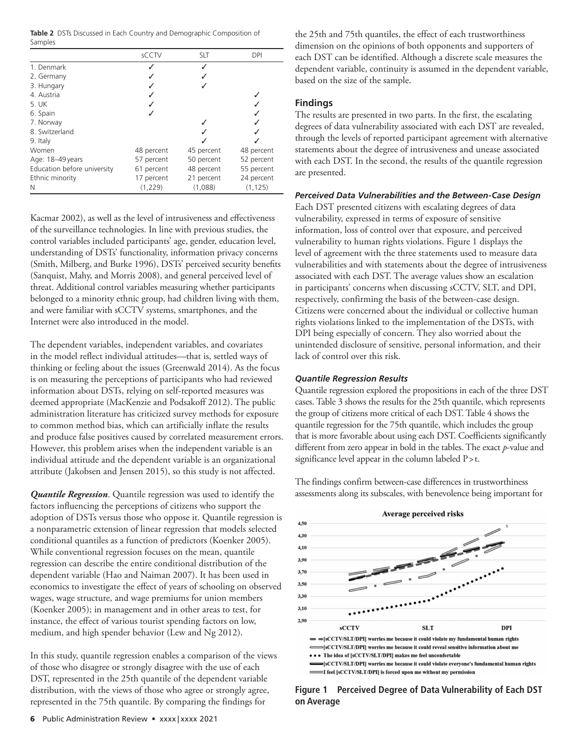**Table 2** DSTs Discussed in Each Country and Demographic Composition of Samples

|                             | sCCTV      | <b>SLT</b> | DPI        |
|-----------------------------|------------|------------|------------|
| 1. Denmark                  |            |            |            |
| 2. Germany                  |            |            |            |
| 3. Hungary                  |            |            |            |
| 4. Austria                  |            |            |            |
| 5. UK                       |            |            |            |
| 6. Spain                    |            |            |            |
| 7. Norway                   |            |            |            |
| 8. Switzerland              |            |            |            |
| 9. Italy                    |            |            |            |
| Women                       | 48 percent | 45 percent | 48 percent |
| Age: 18-49 years            | 57 percent | 50 percent | 52 percent |
| Education before university | 61 percent | 48 percent | 55 percent |
| Ethnic minority             | 17 percent | 21 percent | 24 percent |
| N                           | (1,229)    | (1,088)    | (1, 125)   |

Kacmar 2002), as well as the level of intrusiveness and effectiveness of the surveillance technologies. In line with previous studies, the control variables included participants' age, gender, education level, understanding of DSTs' functionality, information privacy concerns (Smith, Milberg, and Burke 1996), DSTs' perceived security benefits (Sanquist, Mahy, and Morris 2008), and general perceived level of threat. Additional control variables measuring whether participants belonged to a minority ethnic group, had children living with them, and were familiar with sCCTV systems, smartphones, and the Internet were also introduced in the model.

The dependent variables, independent variables, and covariates in the model reflect individual attitudes—that is, settled ways of thinking or feeling about the issues (Greenwald 2014). As the focus is on measuring the perceptions of participants who had reviewed information about DSTs, relying on self-reported measures was deemed appropriate (MacKenzie and Podsakoff 2012). The public administration literature has criticized survey methods for exposure to common method bias, which can artificially inflate the results and produce false positives caused by correlated measurement errors. However, this problem arises when the independent variable is an individual attitude and the dependent variable is an organizational attribute (Jakobsen and Jensen 2015), so this study is not affected.

*Quantile Regression*. Quantile regression was used to identify the factors influencing the perceptions of citizens who support the adoption of DSTs versus those who oppose it. Quantile regression is a nonparametric extension of linear regression that models selected conditional quantiles as a function of predictors (Koenker 2005). While conventional regression focuses on the mean, quantile regression can describe the entire conditional distribution of the dependent variable (Hao and Naiman 2007). It has been used in economics to investigate the effect of years of schooling on observed wages, wage structure, and wage premiums for union members (Koenker 2005); in management and in other areas to test, for instance, the effect of various tourist spending factors on low, medium, and high spender behavior (Lew and Ng 2012).

In this study, quantile regression enables a comparison of the views of those who disagree or strongly disagree with the use of each DST, represented in the 25th quantile of the dependent variable distribution, with the views of those who agree or strongly agree, represented in the 75th quantile. By comparing the findings for

the 25th and 75th quantiles, the effect of each trustworthiness dimension on the opinions of both opponents and supporters of each DST can be identified. Although a discrete scale measures the dependent variable, continuity is assumed in the dependent variable, based on the size of the sample.

## **Findings**

The results are presented in two parts. In the first, the escalating degrees of data vulnerability associated with each DST are revealed, through the levels of reported participant agreement with alternative statements about the degree of intrusiveness and unease associated with each DST. In the second, the results of the quantile regression are presented.

## *Perceived Data Vulnerabilities and the Between-Case Design*

Each DST presented citizens with escalating degrees of data vulnerability, expressed in terms of exposure of sensitive information, loss of control over that exposure, and perceived vulnerability to human rights violations. Figure 1 displays the level of agreement with the three statements used to measure data vulnerabilities and with statements about the degree of intrusiveness associated with each DST. The average values show an escalation in participants' concerns when discussing sCCTV, SLT, and DPI, respectively, confirming the basis of the between-case design. Citizens were concerned about the individual or collective human rights violations linked to the implementation of the DSTs, with DPI being especially of concern. They also worried about the unintended disclosure of sensitive, personal information, and their lack of control over this risk.

## *Quantile Regression Results*

Quantile regression explored the propositions in each of the three DST cases. Table 3 shows the results for the 25th quantile, which represents the group of citizens more critical of each DST. Table 4 shows the quantile regression for the 75th quantile, which includes the group that is more favorable about using each DST. Coefficients significantly different from zero appear in bold in the tables. The exact *p*-value and significance level appear in the column labeled P > t.

The findings confirm between-case differences in trustworthiness assessments along its subscales, with benevolence being important for



**Figure 1 Perceived Degree of Data Vulnerability of Each DST on Average**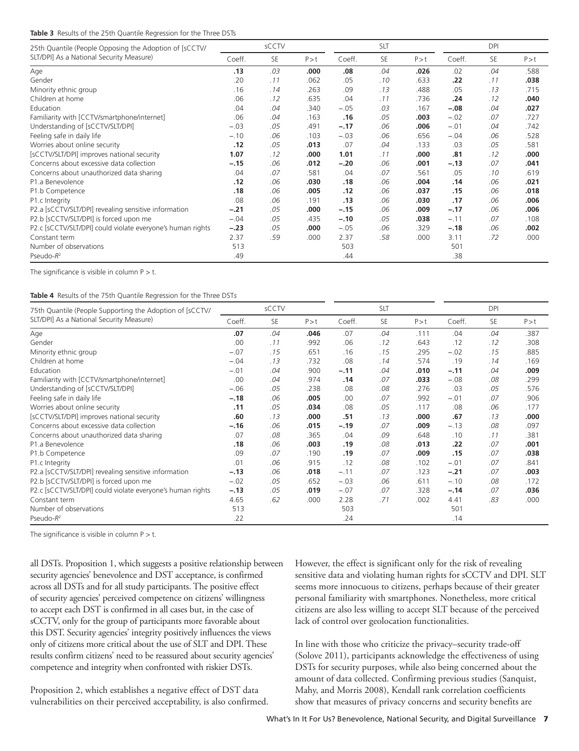#### **Table 3** Results of the 25th Quantile Regression for the Three DSTs

| 25th Quantile (People Opposing the Adoption of [sCCTV/     | sCCTV  |     |       | <b>SLT</b> |     |       | <b>DPI</b> |     |       |
|------------------------------------------------------------|--------|-----|-------|------------|-----|-------|------------|-----|-------|
| SLT/DPI] As a National Security Measure)                   | Coeff. | SE  | P > t | Coeff.     | SE  | P > t | Coeff.     | SE  | P > t |
| Age                                                        | .13    | .03 | .000  | .08        | .04 | .026  | .02        | .04 | .588  |
| Gender                                                     | .20    | .11 | .062  | .05        | .10 | .633  | .22        | .11 | .038  |
| Minority ethnic group                                      | .16    | .14 | .263  | .09        | .13 | .488  | .05        | .13 | .715  |
| Children at home                                           | .06    | .12 | .635  | .04        | .11 | .736  | .24        | .12 | .040  |
| Education                                                  | .04    | .04 | .340  | $-.05$     | .03 | .167  | $-.08$     | .04 | .027  |
| Familiarity with [CCTV/smartphone/internet]                | .06    | .04 | .163  | .16        | .05 | .003  | $-.02$     | .07 | .727  |
| Understanding of [sCCTV/SLT/DPI]                           | $-.03$ | .05 | .491  | $-.17$     | .06 | .006  | $-.01$     | .04 | .742  |
| Feeling safe in daily life                                 | $-.10$ | .06 | .103  | $-.03$     | .06 | .656  | $-.04$     | .06 | .528  |
| Worries about online security                              | .12    | .05 | .013  | .07        | .04 | .133  | .03        | .05 | .581  |
| [sCCTV/SLT/DPI] improves national security                 | 1.07   | .12 | .000  | 1.01       | .11 | .000  | .81        | .12 | .000  |
| Concerns about excessive data collection                   | $-.15$ | .06 | .012  | $-.20$     | .06 | .001  | $-.13$     | .07 | .041  |
| Concerns about unauthorized data sharing                   | .04    | .07 | .581  | .04        | .07 | .561  | .05        | .10 | .619  |
| P1.a Benevolence                                           | .12    | .06 | .030  | .18        | .06 | .004  | .14        | .06 | .021  |
| P1.b Competence                                            | .18    | .06 | .005  | .12        | .06 | .037  | .15        | .06 | .018  |
| P1.c Integrity                                             | .08    | .06 | .191  | .13        | .06 | .030  | .17        | .06 | .006  |
| P2.a [sCCTV/SLT/DPI] revealing sensitive information       | $-.21$ | .05 | .000  | $-.15$     | .06 | .009  | $-.17$     | .06 | .006  |
| P2.b [sCCTV/SLT/DPI] is forced upon me                     | $-.04$ | .05 | .435  | $-.10$     | .05 | .038  | $-.11$     | .07 | .108  |
| P2.c [sCCTV/SLT/DPI] could violate everyone's human rights | $-.23$ | .05 | .000  | $-.05$     | .06 | .329  | $-.18$     | .06 | .002  |
| Constant term                                              | 2.37   | .59 | .000  | 2.37       | .58 | .000  | 3.11       | .72 | .000  |
| Number of observations                                     | 513    |     |       | 503        |     |       | 501        |     |       |
| Pseudo- $R^2$                                              | .49    |     |       | .44        |     |       | .38        |     |       |

The significance is visible in column  $P > t$ .

#### **Table 4** Results of the 75th Quantile Regression for the Three DST*s*

| 75th Quantile (People Supporting the Adoption of [sCCTV/   | sCCTV  |           |       | <b>SLT</b> |           |       | <b>DPI</b> |           |       |
|------------------------------------------------------------|--------|-----------|-------|------------|-----------|-------|------------|-----------|-------|
| SLT/DPI] As a National Security Measure)                   | Coeff. | <b>SE</b> | P > t | Coeff.     | <b>SE</b> | P > t | Coeff.     | <b>SE</b> | P > t |
| Age                                                        | .07    | .04       | .046  | .07        | .04       | .111  | .04        | .04       | .387  |
| Gender                                                     | .00    | .11       | .992  | .06        | .12       | .643  | .12        | .12       | .308  |
| Minority ethnic group                                      | $-.07$ | .15       | .651  | .16        | .15       | .295  | $-.02$     | .15       | .885  |
| Children at home                                           | $-.04$ | .13       | .732  | .08        | .14       | .574  | .19        | .14       | .169  |
| Education                                                  | $-.01$ | .04       | .900  | $-.11$     | .04       | .010  | $-.11$     | .04       | .009  |
| Familiarity with [CCTV/smartphone/internet]                | .00    | .04       | .974  | .14        | .07       | .033  | $-.08$     | .08       | .299  |
| Understanding of [sCCTV/SLT/DPI]                           | $-.06$ | .05       | .238  | .08        | .08       | .276  | .03        | .05       | .576  |
| Feeling safe in daily life                                 | $-.18$ | .06       | .005  | .00        | .07       | .992  | $-.01$     | .07       | .906  |
| Worries about online security                              | .11    | .05       | .034  | .08        | .05       | .117  | .08        | .06       | .177  |
| [sCCTV/SLT/DPI] improves national security                 | .60    | .13       | .000  | .51        | .13       | .000  | .67        | .13       | .000  |
| Concerns about excessive data collection                   | $-.16$ | .06       | .015  | $-.19$     | .07       | .009  | $-.13$     | .08       | .097  |
| Concerns about unauthorized data sharing                   | .07    | .08       | .365  | .04        | .09       | .648  | .10        | .11       | .381  |
| P1.a Benevolence                                           | .18    | .06       | .003  | .19        | .08       | .013  | .22        | .07       | .001  |
| P1.b Competence                                            | .09    | .07       | .190  | .19        | .07       | .009  | .15        | .07       | .038  |
| P1.c Integrity                                             | .01    | .06       | .915  | .12        | .08       | .102  | $-.01$     | .07       | .841  |
| P2.a [sCCTV/SLT/DPI] revealing sensitive information       | $-.13$ | .06       | .018  | $-.11$     | .07       | .123  | $-.21$     | .07       | .003  |
| P2.b [sCCTV/SLT/DPI] is forced upon me                     | $-.02$ | .05       | .652  | $-.03$     | .06       | .611  | $-.10$     | .08       | .172  |
| P2.c [sCCTV/SLT/DPI] could violate everyone's human rights | $-.13$ | .05       | .019  | $-.07$     | .07       | .328  | $-.14$     | .07       | .036  |
| Constant term                                              | 4.65   | .62       | .000  | 2.28       | .71       | .002  | 4.41       | .83       | .000  |
| Number of observations                                     | 513    |           |       | 503        |           |       | 501        |           |       |
| Pseudo- $R^2$                                              | .22    |           |       | .24        |           |       | .14        |           |       |

The significance is visible in column  $P > t$ .

all DSTs. Proposition 1, which suggests a positive relationship between security agencies' benevolence and DST acceptance, is confirmed across all DSTs and for all study participants. The positive effect of security agencies' perceived competence on citizens' willingness to accept each DST is confirmed in all cases but, in the case of sCCTV, only for the group of participants more favorable about this DST. Security agencies' integrity positively influences the views only of citizens more critical about the use of SLT and DPI. These results confirm citizens' need to be reassured about security agencies' competence and integrity when confronted with riskier DSTs.

Proposition 2, which establishes a negative effect of DST data vulnerabilities on their perceived acceptability, is also confirmed. However, the effect is significant only for the risk of revealing sensitive data and violating human rights for sCCTV and DPI. SLT seems more innocuous to citizens, perhaps because of their greater personal familiarity with smartphones. Nonetheless, more critical citizens are also less willing to accept SLT because of the perceived lack of control over geolocation functionalities.

In line with those who criticize the privacy–security trade-off (Solove 2011), participants acknowledge the effectiveness of using DSTs for security purposes, while also being concerned about the amount of data collected. Confirming previous studies (Sanquist, Mahy, and Morris 2008), Kendall rank correlation coefficients show that measures of privacy concerns and security benefits are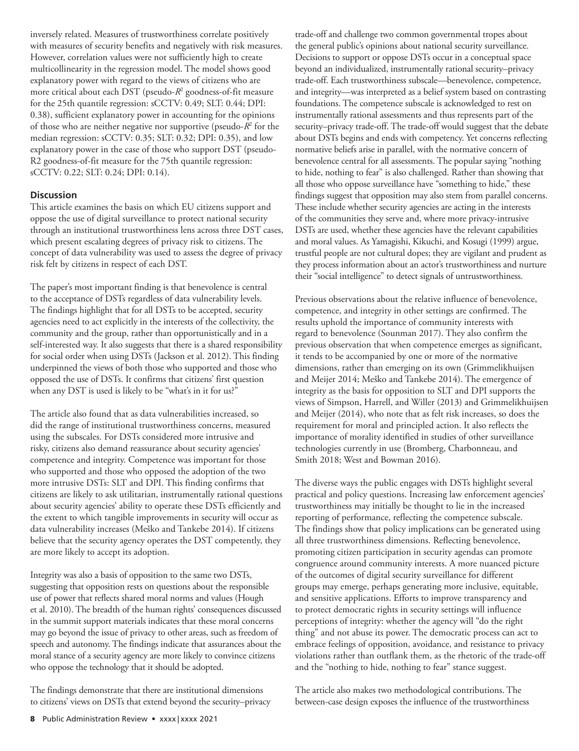inversely related. Measures of trustworthiness correlate positively with measures of security benefits and negatively with risk measures. However, correlation values were not sufficiently high to create multicollinearity in the regression model. The model shows good explanatory power with regard to the views of citizens who are more critical about each DST (pseudo-*R*<sup>2</sup> goodness-of-fit measure for the 25th quantile regression: sCCTV: 0.49; SLT: 0.44; DPI: 0.38), sufficient explanatory power in accounting for the opinions of those who are neither negative nor supportive (pseudo-*R*<sup>2</sup> for the median regression: sCCTV: 0.35; SLT: 0.32; DPI: 0.35), and low explanatory power in the case of those who support DST (pseudo-R2 goodness‐of‐fit measure for the 75th quantile regression: sCCTV: 0.22; SLT: 0.24; DPI: 0.14).

### **Discussion**

This article examines the basis on which EU citizens support and oppose the use of digital surveillance to protect national security through an institutional trustworthiness lens across three DST cases, which present escalating degrees of privacy risk to citizens. The concept of data vulnerability was used to assess the degree of privacy risk felt by citizens in respect of each DST.

The paper's most important finding is that benevolence is central to the acceptance of DSTs regardless of data vulnerability levels. The findings highlight that for all DSTs to be accepted, security agencies need to act explicitly in the interests of the collectivity, the community and the group, rather than opportunistically and in a self-interested way. It also suggests that there is a shared responsibility for social order when using DSTs (Jackson et al. 2012). This finding underpinned the views of both those who supported and those who opposed the use of DSTs. It confirms that citizens' first question when any DST is used is likely to be "what's in it for us?"

The article also found that as data vulnerabilities increased, so did the range of institutional trustworthiness concerns, measured using the subscales. For DSTs considered more intrusive and risky, citizens also demand reassurance about security agencies' competence and integrity. Competence was important for those who supported and those who opposed the adoption of the two more intrusive DSTs: SLT and DPI. This finding confirms that citizens are likely to ask utilitarian, instrumentally rational questions about security agencies' ability to operate these DSTs efficiently and the extent to which tangible improvements in security will occur as data vulnerability increases (Meško and Tankebe 2014). If citizens believe that the security agency operates the DST competently, they are more likely to accept its adoption.

Integrity was also a basis of opposition to the same two DSTs, suggesting that opposition rests on questions about the responsible use of power that reflects shared moral norms and values (Hough et al. 2010). The breadth of the human rights' consequences discussed in the summit support materials indicates that these moral concerns may go beyond the issue of privacy to other areas, such as freedom of speech and autonomy. The findings indicate that assurances about the moral stance of a security agency are more likely to convince citizens who oppose the technology that it should be adopted.

The findings demonstrate that there are institutional dimensions to citizens' views on DSTs that extend beyond the security–privacy trade-off and challenge two common governmental tropes about the general public's opinions about national security surveillance. Decisions to support or oppose DSTs occur in a conceptual space beyond an individualized, instrumentally rational security–privacy trade-off. Each trustworthiness subscale—benevolence, competence, and integrity—was interpreted as a belief system based on contrasting foundations. The competence subscale is acknowledged to rest on instrumentally rational assessments and thus represents part of the security–privacy trade-off. The trade-off would suggest that the debate about DSTs begins and ends with competency. Yet concerns reflecting normative beliefs arise in parallel, with the normative concern of benevolence central for all assessments. The popular saying "nothing to hide, nothing to fear" is also challenged. Rather than showing that all those who oppose surveillance have "something to hide," these findings suggest that opposition may also stem from parallel concerns. These include whether security agencies are acting in the interests of the communities they serve and, where more privacy-intrusive DSTs are used, whether these agencies have the relevant capabilities and moral values. As Yamagishi, Kikuchi, and Kosugi (1999) argue, trustful people are not cultural dopes; they are vigilant and prudent as they process information about an actor's trustworthiness and nurture their "social intelligence" to detect signals of untrustworthiness.

Previous observations about the relative influence of benevolence, competence, and integrity in other settings are confirmed. The results uphold the importance of community interests with regard to benevolence (Sounman 2017). They also confirm the previous observation that when competence emerges as significant, it tends to be accompanied by one or more of the normative dimensions, rather than emerging on its own (Grimmelikhuijsen and Meijer 2014; Meško and Tankebe 2014). The emergence of integrity as the basis for opposition to SLT and DPI supports the views of Simpson, Harrell, and Willer (2013) and Grimmelikhuijsen and Meijer (2014), who note that as felt risk increases, so does the requirement for moral and principled action. It also reflects the importance of morality identified in studies of other surveillance technologies currently in use (Bromberg, Charbonneau, and Smith 2018; West and Bowman 2016).

The diverse ways the public engages with DSTs highlight several practical and policy questions. Increasing law enforcement agencies' trustworthiness may initially be thought to lie in the increased reporting of performance, reflecting the competence subscale. The findings show that policy implications can be generated using all three trustworthiness dimensions. Reflecting benevolence, promoting citizen participation in security agendas can promote congruence around community interests. A more nuanced picture of the outcomes of digital security surveillance for different groups may emerge, perhaps generating more inclusive, equitable, and sensitive applications. Efforts to improve transparency and to protect democratic rights in security settings will influence perceptions of integrity: whether the agency will "do the right thing" and not abuse its power. The democratic process can act to embrace feelings of opposition, avoidance, and resistance to privacy violations rather than outflank them, as the rhetoric of the trade-off and the "nothing to hide, nothing to fear" stance suggest.

The article also makes two methodological contributions. The between-case design exposes the influence of the trustworthiness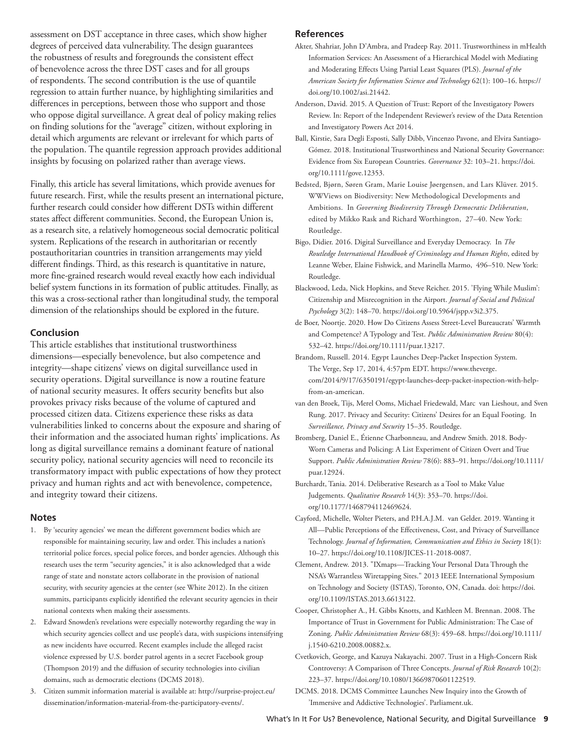assessment on DST acceptance in three cases, which show higher degrees of perceived data vulnerability. The design guarantees the robustness of results and foregrounds the consistent effect of benevolence across the three DST cases and for all groups of respondents. The second contribution is the use of quantile regression to attain further nuance, by highlighting similarities and differences in perceptions, between those who support and those who oppose digital surveillance. A great deal of policy making relies on finding solutions for the "average" citizen, without exploring in detail which arguments are relevant or irrelevant for which parts of the population. The quantile regression approach provides additional insights by focusing on polarized rather than average views.

Finally, this article has several limitations, which provide avenues for future research. First, while the results present an international picture, further research could consider how different DSTs within different states affect different communities. Second, the European Union is, as a research site, a relatively homogeneous social democratic political system. Replications of the research in authoritarian or recently postauthoritarian countries in transition arrangements may yield different findings. Third, as this research is quantitative in nature, more fine-grained research would reveal exactly how each individual belief system functions in its formation of public attitudes. Finally, as this was a cross-sectional rather than longitudinal study, the temporal dimension of the relationships should be explored in the future.

#### **Conclusion**

This article establishes that institutional trustworthiness dimensions—especially benevolence, but also competence and integrity—shape citizens' views on digital surveillance used in security operations. Digital surveillance is now a routine feature of national security measures. It offers security benefits but also provokes privacy risks because of the volume of captured and processed citizen data. Citizens experience these risks as data vulnerabilities linked to concerns about the exposure and sharing of their information and the associated human rights' implications. As long as digital surveillance remains a dominant feature of national security policy, national security agencies will need to reconcile its transformatory impact with public expectations of how they protect privacy and human rights and act with benevolence, competence, and integrity toward their citizens.

#### **Notes**

- 1. By 'security agencies' we mean the different government bodies which are responsible for maintaining security, law and order. This includes a nation's territorial police forces, special police forces, and border agencies. Although this research uses the term "security agencies," it is also acknowledged that a wide range of state and nonstate actors collaborate in the provision of national security, with security agencies at the center (see White 2012). In the citizen summits, participants explicitly identified the relevant security agencies in their national contexts when making their assessments.
- 2. Edward Snowden's revelations were especially noteworthy regarding the way in which security agencies collect and use people's data, with suspicions intensifying as new incidents have occurred. Recent examples include the alleged racist violence expressed by U.S. border patrol agents in a secret Facebook group (Thompson 2019) and the diffusion of security technologies into civilian domains, such as democratic elections (DCMS 2018).
- 3. Citizen summit information material is available at: http://surprise-project.eu/ dissemination/information-material-from-the-participatory-events/.

#### **References**

- Akter, Shahriar, John D'Ambra, and Pradeep Ray. 2011. Trustworthiness in mHealth Information Services: An Assessment of a Hierarchical Model with Mediating and Moderating Effects Using Partial Least Squares (PLS). *Journal of the American Society for Information Science and Technology* 62(1): 100–16. https:// doi.org/10.1002/asi.21442.
- Anderson, David. 2015. A Question of Trust: Report of the Investigatory Powers Review. In: Report of the Independent Reviewer's review of the Data Retention and Investigatory Powers Act 2014.
- Ball, Kirstie, Sara Degli Esposti, Sally Dibb, Vincenzo Pavone, and Elvira Santiago-Gómez. 2018. Institutional Trustworthiness and National Security Governance: Evidence from Six European Countries. *Governance* 32: 103–21. https://doi. org/10.1111/gove.12353.
- Bedsted, Bjørn, Søren Gram, Marie Louise Jøergensen, and Lars Klüver. 2015. WWViews on Biodiversity: New Methodological Developments and Ambitions. In *Governing Biodiversity Through Democratic Deliberation*, edited by Mikko Rask and Richard Worthington, 27–40. New York: Routledge.
- Bigo, Didier. 2016. Digital Surveillance and Everyday Democracy. In *The Routledge International Handbook of Criminology and Human Rights*, edited by Leanne Weber, Elaine Fishwick, and Marinella Marmo, 496–510. New York: Routledge.
- Blackwood, Leda, Nick Hopkins, and Steve Reicher. 2015. 'Flying While Muslim': Citizenship and Misrecognition in the Airport. *Journal of Social and Political Psychology* 3(2): 148–70. https://doi.org/10.5964/jspp.v3i2.375.
- de Boer, Noortje. 2020. How Do Citizens Assess Street-Level Bureaucrats' Warmth and Competence? A Typology and Test. *Public Administration Review* 80(4): 532–42. https://doi.org/10.1111/puar.13217.
- Brandom, Russell. 2014. Egypt Launches Deep-Packet Inspection System. The Verge, Sep 17, 2014, 4:57pm EDT. https://www.theverge. com/2014/9/17/6350191/egypt-launches-deep-packet-inspection-with-helpfrom-an-american.
- van den Broek, Tijs, Merel Ooms, Michael Friedewald, Marc van Lieshout, and Sven Rung. 2017. Privacy and Security: Citizens' Desires for an Equal Footing. In *Surveillance, Privacy and Security* 15–35. Routledge.
- Bromberg, Daniel E., Étienne Charbonneau, and Andrew Smith. 2018. Body-Worn Cameras and Policing: A List Experiment of Citizen Overt and True Support. *Public Administration Review* 78(6): 883–91. https://doi.org/10.1111/ puar.12924.
- Burchardt, Tania. 2014. Deliberative Research as a Tool to Make Value Judgements. *Qualitative Research* 14(3): 353–70. https://doi. org/10.1177/1468794112469624.
- Cayford, Michelle, Wolter Pieters, and P.H.A.J.M. van Gelder. 2019. Wanting it All—Public Perceptions of the Effectiveness, Cost, and Privacy of Surveillance Technology. *Journal of Information, Communication and Ethics in Society* 18(1): 10–27. https://doi.org/10.1108/JICES-11-2018-0087.
- Clement, Andrew. 2013. "IXmaps—Tracking Your Personal Data Through the NSA's Warrantless Wiretapping Sites." 2013 IEEE International Symposium on Technology and Society (ISTAS), Toronto, ON, Canada. doi: https://doi. org/10.1109/ISTAS.2013.6613122.
- Cooper, Christopher A., H. Gibbs Knotts, and Kathleen M. Brennan. 2008. The Importance of Trust in Government for Public Administration: The Case of Zoning. *Public Administration Review* 68(3): 459–68. https://doi.org/10.1111/ j.1540-6210.2008.00882.x.
- Cvetkovich, George, and Kazuya Nakayachi. 2007. Trust in a High-Concern Risk Controversy: A Comparison of Three Concepts. *Journal of Risk Research* 10(2): 223–37. https://doi.org/10.1080/13669870601122519.
- DCMS. 2018. DCMS Committee Launches New Inquiry into the Growth of 'Immersive and Addictive Technologies'. Parliament.uk.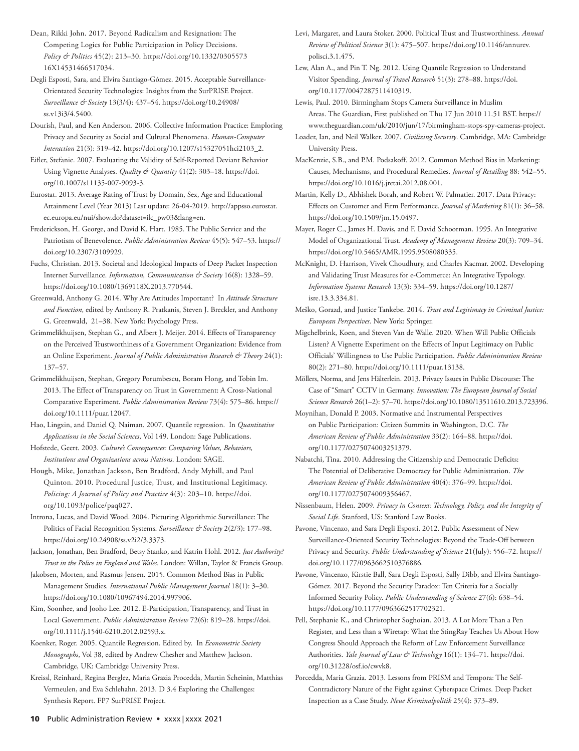Dean, Rikki John. 2017. Beyond Radicalism and Resignation: The Competing Logics for Public Participation in Policy Decisions. *Policy & Politics* 45(2): 213–30. https://doi.org/10.1332/0305573 16X14531466517034.

Degli Esposti, Sara, and Elvira Santiago-Gómez. 2015. Acceptable Surveillance-Orientated Security Technologies: Insights from the SurPRISE Project. *Surveillance & Society* 13(3/4): 437–54. https://doi.org/10.24908/ ss.v13i3/4.5400.

Dourish, Paul, and Ken Anderson. 2006. Collective Information Practice: Emploring Privacy and Security as Social and Cultural Phenomena. *Human-Computer Interaction* 21(3): 319–42. https://doi.org/10.1207/s15327051hci2103\_2.

Eifler, Stefanie. 2007. Evaluating the Validity of Self-Reported Deviant Behavior Using Vignette Analyses. *Quality & Quantity* 41(2): 303–18. https://doi. org/10.1007/s11135-007-9093-3.

Eurostat. 2013. Average Rating of Trust by Domain, Sex, Age and Educational Attainment Level (Year 2013) Last update: 26-04-2019. http://appsso.eurostat. ec.europa.eu/nui/show.do?dataset=ilc\_pw03&lang=en.

Frederickson, H. George, and David K. Hart. 1985. The Public Service and the Patriotism of Benevolence. *Public Administration Review* 45(5): 547–53. https:// doi.org/10.2307/3109929.

Fuchs, Christian. 2013. Societal and Ideological Impacts of Deep Packet Inspection Internet Surveillance. *Information, Communication & Society* 16(8): 1328–59. https://doi.org/10.1080/1369118X.2013.770544.

Greenwald, Anthony G. 2014. Why Are Attitudes Important? In *Attitude Structure and Function*, edited by Anthony R. Pratkanis, Steven J. Breckler, and Anthony G. Greenwald, 21–38. New York: Psychology Press.

Grimmelikhuijsen, Stephan G., and Albert J. Meijer. 2014. Effects of Transparency on the Perceived Trustworthiness of a Government Organization: Evidence from an Online Experiment. *Journal of Public Administration Research & Theory* 24(1): 137–57.

Grimmelikhuijsen, Stephan, Gregory Porumbescu, Boram Hong, and Tobin Im. 2013. The Effect of Transparency on Trust in Government: A Cross-National Comparative Experiment. *Public Administration Review* 73(4): 575–86. https:// doi.org/10.1111/puar.12047.

Hao, Lingxin, and Daniel Q. Naiman. 2007. Quantile regression. In *Quantitative Applications in the Social Sciences*, Vol 149. London: Sage Publications.

Hofstede, Geert. 2003. *Culture's Consequences: Comparing Values, Behaviors, Institutions and Organizations across Nations*. London: SAGE.

Hough, Mike, Jonathan Jackson, Ben Bradford, Andy Myhill, and Paul Quinton. 2010. Procedural Justice, Trust, and Institutional Legitimacy. *Policing: A Journal of Policy and Practice* 4(3): 203–10. https://doi. org/10.1093/police/paq027.

Introna, Lucas, and David Wood. 2004. Picturing Algorithmic Surveillance: The Politics of Facial Recognition Systems. *Surveillance & Society* 2(2/3): 177-98. https://doi.org/10.24908/ss.v2i2/3.3373.

Jackson, Jonathan, Ben Bradford, Betsy Stanko, and Katrin Hohl. 2012. *Just Authority? Trust in the Police in England and Wales*. London: Willan, Taylor & Francis Group.

Jakobsen, Morten, and Rasmus Jensen. 2015. Common Method Bias in Public Management Studies. *International Public Management Journal* 18(1): 3–30. https://doi.org/10.1080/10967494.2014.997906.

Kim, Soonhee, and Jooho Lee. 2012. E-Participation, Transparency, and Trust in Local Government. *Public Administration Review* 72(6): 819–28. https://doi. org/10.1111/j.1540-6210.2012.02593.x.

Koenker, Roger. 2005. Quantile Regression. Edited by. In *Econometric Society Monographs*, Vol 38, edited by Andrew Chesher and Matthew Jackson. Cambridge, UK: Cambridge University Press.

Kreissl, Reinhard, Regina Berglez, Maria Grazia Procedda, Martin Scheinin, Matthias Vermeulen, and Eva Schlehahn. 2013. D 3.4 Exploring the Challenges: Synthesis Report. FP7 SurPRISE Project.

Levi, Margaret, and Laura Stoker. 2000. Political Trust and Trustworthiness. *Annual Review of Political Science* 3(1): 475–507. https://doi.org/10.1146/annurev. polisci.3.1.475.

Lew, Alan A., and Pin T. Ng. 2012. Using Quantile Regression to Understand Visitor Spending. *Journal of Travel Research* 51(3): 278–88. https://doi. org/10.1177/0047287511410319.

Lewis, Paul. 2010. Birmingham Stops Camera Surveillance in Muslim Areas. The Guardian, First published on Thu 17 Jun 2010 11.51 BST. https:// www.theguardian.com/uk/2010/jun/17/birmingham-stops-spy-cameras-project.

Loader, Ian, and Neil Walker. 2007. *Civilizing Security*. Cambridge, MA: Cambridge University Press.

MacKenzie, S.B., and P.M. Podsakoff. 2012. Common Method Bias in Marketing: Causes, Mechanisms, and Procedural Remedies. *Journal of Retailing* 88: 542–55. https://doi.org/10.1016/j.jretai.2012.08.001.

Martin, Kelly D., Abhishek Borah, and Robert W. Palmatier. 2017. Data Privacy: Effects on Customer and Firm Performance. *Journal of Marketing* 81(1): 36–58. https://doi.org/10.1509/jm.15.0497.

Mayer, Roger C., James H. Davis, and F. David Schoorman. 1995. An Integrative Model of Organizational Trust. *Academy of Management Review* 20(3): 709–34. https://doi.org/10.5465/AMR.1995.9508080335.

McKnight, D. Harrison, Vivek Choudhury, and Charles Kacmar. 2002. Developing and Validating Trust Measures for e-Commerce: An Integrative Typology. *Information Systems Research* 13(3): 334–59. https://doi.org/10.1287/ isre.13.3.334.81.

Meško, Gorazd, and Justice Tankebe. 2014. *Trust and Legitimacy in Criminal Justice: European Perspectives*. New York: Springer.

Migchelbrink, Koen, and Steven Van de Walle. 2020. When Will Public Officials Listen? A Vignette Experiment on the Effects of Input Legitimacy on Public Officials' Willingness to Use Public Participation. *Public Administration Review* 80(2): 271–80. https://doi.org/10.1111/puar.13138.

Möllers, Norma, and Jens Hälterlein. 2013. Privacy Issues in Public Discourse: The Case of "Smart" CCTV in Germany. *Innovation: The European Journal of Social Science Research* 26(1–2): 57–70. https://doi.org/10.1080/13511610.2013.723396.

Moynihan, Donald P. 2003. Normative and Instrumental Perspectives on Public Participation: Citizen Summits in Washington, D.C. *The American Review of Public Administration* 33(2): 164–88. https://doi. org/10.1177/0275074003251379.

Nabatchi, Tina. 2010. Addressing the Citizenship and Democratic Deficits: The Potential of Deliberative Democracy for Public Administration. *The American Review of Public Administration* 40(4): 376–99. https://doi. org/10.1177/0275074009356467.

Nissenbaum, Helen. 2009. *Privacy in Context: Technology, Policy, and the Integrity of Social Life*. Stanford, US: Stanford Law Books.

Pavone, Vincenzo, and Sara Degli Esposti. 2012. Public Assessment of New Surveillance-Oriented Security Technologies: Beyond the Trade-Off between Privacy and Security. *Public Understanding of Science* 21(July): 556–72. https:// doi.org/10.1177/0963662510376886.

Pavone, Vincenzo, Kirstie Ball, Sara Degli Esposti, Sally Dibb, and Elvira Santiago-Gómez. 2017. Beyond the Security Paradox: Ten Criteria for a Socially Informed Security Policy. *Public Understanding of Science* 27(6): 638–54. https://doi.org/10.1177/0963662517702321.

Pell, Stephanie K., and Christopher Soghoian. 2013. A Lot More Than a Pen Register, and Less than a Wiretap: What the StingRay Teaches Us About How Congress Should Approach the Reform of Law Enforcement Surveillance Authorities. *Yale Journal of Law & Technology* 16(1): 134–71. https://doi. org/10.31228/osf.io/cwvk8.

Porcedda, Maria Grazia. 2013. Lessons from PRISM and Tempora: The Self-Contradictory Nature of the Fight against Cyberspace Crimes. Deep Packet Inspection as a Case Study. *Neue Kriminalpolitik* 25(4): 373–89.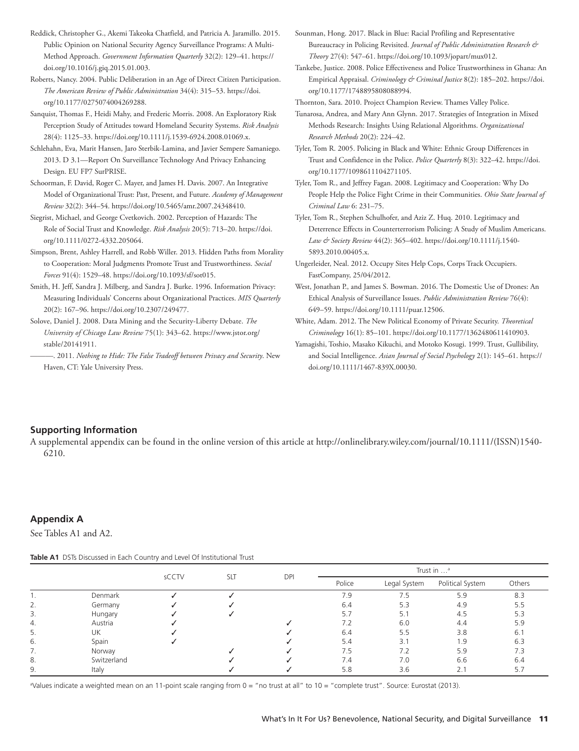- Reddick, Christopher G., Akemi Takeoka Chatfield, and Patricia A. Jaramillo. 2015. Public Opinion on National Security Agency Surveillance Programs: A Multi-Method Approach. *Government Information Quarterly* 32(2): 129–41. https:// doi.org/10.1016/j.giq.2015.01.003.
- Roberts, Nancy. 2004. Public Deliberation in an Age of Direct Citizen Participation. *The American Review of Public Administration* 34(4): 315–53. https://doi. org/10.1177/0275074004269288.

Sanquist, Thomas F., Heidi Mahy, and Frederic Morris. 2008. An Exploratory Risk Perception Study of Attitudes toward Homeland Security Systems. *Risk Analysis* 28(4): 1125–33. https://doi.org/10.1111/j.1539-6924.2008.01069.x.

Schlehahn, Eva, Marit Hansen, Jaro Sterbik-Lamina, and Javier Sempere Samaniego. 2013. D 3.1—Report On Surveillance Technology And Privacy Enhancing Design. EU FP7 SurPRISE.

- Schoorman, F. David, Roger C. Mayer, and James H. Davis. 2007. An Integrative Model of Organizational Trust: Past, Present, and Future. *Academy of Management Review* 32(2): 344–54. https://doi.org/10.5465/amr.2007.24348410.
- Siegrist, Michael, and George Cvetkovich. 2002. Perception of Hazards: The Role of Social Trust and Knowledge. *Risk Analysis* 20(5): 713–20. https://doi. org/10.1111/0272-4332.205064.
- Simpson, Brent, Ashley Harrell, and Robb Willer. 2013. Hidden Paths from Morality to Cooperation: Moral Judgments Promote Trust and Trustworthiness. *Social Forces* 91(4): 1529–48. https://doi.org/10.1093/sf/sot015.
- Smith, H. Jeff, Sandra J. Milberg, and Sandra J. Burke. 1996. Information Privacy: Measuring Individuals' Concerns about Organizational Practices. *MIS Quarterly* 20(2): 167–96. https://doi.org/10.2307/249477.
- Solove, Daniel J. 2008. Data Mining and the Security-Liberty Debate. *The University of Chicago Law Review* 75(1): 343–62. https://www.jstor.org/ stable/20141911.
	- ———. 2011. *Nothing to Hide: The False Tradeoff between Privacy and Security*. New Haven, CT: Yale University Press.
- Sounman, Hong. 2017. Black in Blue: Racial Profiling and Representative Bureaucracy in Policing Revisited. *Journal of Public Administration Research & Theory* 27(4): 547–61. https://doi.org/10.1093/jopart/mux012.
- Tankebe, Justice. 2008. Police Effectiveness and Police Trustworthiness in Ghana: An Empirical Appraisal. *Criminology & Criminal Justice* 8(2): 185–202. https://doi. org/10.1177/1748895808088994.

Thornton, Sara. 2010. Project Champion Review. Thames Valley Police.

- Tunarosa, Andrea, and Mary Ann Glynn. 2017. Strategies of Integration in Mixed Methods Research: Insights Using Relational Algorithms. *Organizational Research Methods* 20(2): 224–42.
- Tyler, Tom R. 2005. Policing in Black and White: Ethnic Group Differences in Trust and Confidence in the Police. *Police Quarterly* 8(3): 322–42. https://doi. org/10.1177/1098611104271105.
- Tyler, Tom R., and Jeffrey Fagan. 2008. Legitimacy and Cooperation: Why Do People Help the Police Fight Crime in their Communities. *Ohio State Journal of Criminal Law* 6: 231–75.
- Tyler, Tom R., Stephen Schulhofer, and Aziz Z. Huq. 2010. Legitimacy and Deterrence Effects in Counterterrorism Policing: A Study of Muslim Americans. *Law & Society Review* 44(2): 365–402. https://doi.org/10.1111/j.1540- 5893.2010.00405.x.
- Ungerleider, Neal. 2012. Occupy Sites Help Cops, Corps Track Occupiers. FastCompany, 25/04/2012.
- West, Jonathan P., and James S. Bowman. 2016. The Domestic Use of Drones: An Ethical Analysis of Surveillance Issues. *Public Administration Review* 76(4): 649–59. https://doi.org/10.1111/puar.12506.
- White, Adam. 2012. The New Political Economy of Private Security. *Theoretical Criminology* 16(1): 85–101. https://doi.org/10.1177/1362480611410903.
- Yamagishi, Toshio, Masako Kikuchi, and Motoko Kosugi. 1999. Trust, Gullibility, and Social Intelligence. *Asian Journal of Social Psychology* 2(1): 145–61. https:// doi.org/10.1111/1467-839X.00030.

## **Supporting Information**

A supplemental appendix can be found in the online version of this article at http://onlinelibrary.wiley.com/journal/10.1111/(ISSN)1540- 6210.

## **Appendix A**

See Tables A1 and A2.

|    | <b>READ OF A HIGHLIGHT COULD Y AND LOTED THE READ READ IN A HIGHLIGHT TO A HIGHLIGHT TO A HIGHLIGHT TO A HIGHLIGHT</b> |       |     |            |                       |              |                  |      |  |  |  |  |
|----|------------------------------------------------------------------------------------------------------------------------|-------|-----|------------|-----------------------|--------------|------------------|------|--|--|--|--|
|    |                                                                                                                        |       | SLT | <b>DPI</b> | Trust in <sup>a</sup> |              |                  |      |  |  |  |  |
|    |                                                                                                                        | sCCTV |     |            | Police                | Legal System | Political System | Othe |  |  |  |  |
|    | Denmark                                                                                                                |       |     |            | 7.9                   | 7.5          | 5.9              | 8.3  |  |  |  |  |
|    | Germany                                                                                                                |       |     |            | 6.4                   | 5.3          | 4.9              | 5.5  |  |  |  |  |
|    | Hungary                                                                                                                |       |     |            | 5.7                   | 5.1          | 4.5              | 5.3  |  |  |  |  |
|    | Austria                                                                                                                |       |     |            | 7.2                   | 6.0          | 4.4              | 5.9  |  |  |  |  |
|    | UΚ                                                                                                                     |       |     |            | 6.4                   | 5.5          | 3.8              | 6.1  |  |  |  |  |
| 6. | Spain                                                                                                                  |       |     |            | 5.4                   | 3.1          | 1.9              | 6.3  |  |  |  |  |
|    | Norway                                                                                                                 |       |     |            | 7.5                   | 7.2          | 5.9              | 7.3  |  |  |  |  |
| 8. | Switzerland                                                                                                            |       |     |            | 7.4                   | 7.0          | 6.6              | 6.4  |  |  |  |  |
|    | Italy                                                                                                                  |       |     |            | 5.8                   | 3.6          | 2.1              | 5.7  |  |  |  |  |

**Table A1** DSTs Discussed in Each Country and Level Of Institutional Trust

a Values indicate a weighted mean on an 11-point scale ranging from 0 = "no trust at all" to 10 = "complete trust". Source: Eurostat (2013).

Others